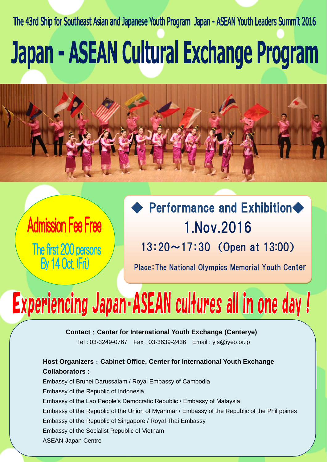The 43rd Ship for Southeast Asian and Japanese Youth Program Japan - ASEAN Youth Leaders Summit 2016

# Japan - ASEAN Cultural Exchange Program



# **Admission Fee Free**

The first 200 persons By 14 Oct Fri)

## **Performance and Exhibition◆** 1.Nov.2016 13:20~17:30 (Open at 13:00)

Place:The National Olympics Memorial Youth Center

# **Experiencing Japan-ASEAN cultures all in one day!**

#### **Contact**:**Center for International Youth Exchange (Centerye)**

Tel : 03-3249-0767 Fax : 03-3639-2436 Email : yls@iyeo.or.jp

#### **Host Organizers**:**Cabinet Office, Center for International Youth Exchange Collaborators :**

Embassy of Brunei Darussalam / Royal Embassy of Cambodia Embassy of the Republic of Indonesia Embassy of the Lao People's Democratic Republic / Embassy of Malaysia Embassy of the Republic of the Union of Myanmar / Embassy of the Republic of the Philippines Embassy of the Republic of Singapore / Royal Thai Embassy Embassy of the Socialist Republic of Vietnam ASEAN-Japan Centre